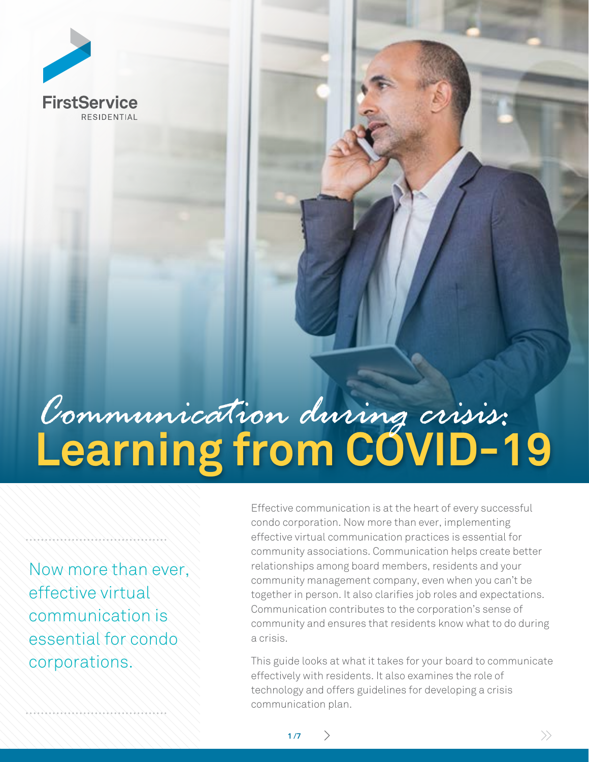

# **Learning from COVID-19** *Communication during crisis:*

**1 /7**

Now more than ever, effective virtual communication is essential for condo corporations.

Effective communication is at the heart of every successful condo corporation. Now more than ever, implementing effective virtual communication practices is essential for community associations. Communication helps create better relationships among board members, residents and your community management company, even when you can't be together in person. It also clarifies job roles and expectations. Communication contributes to the corporation's sense of community and ensures that residents know what to do during a crisis.

This guide looks at what it takes for your board to communicate effectively with residents. It also examines the role of technology and offers guidelines for developing a crisis communication plan.

 $>$   $\rightarrow$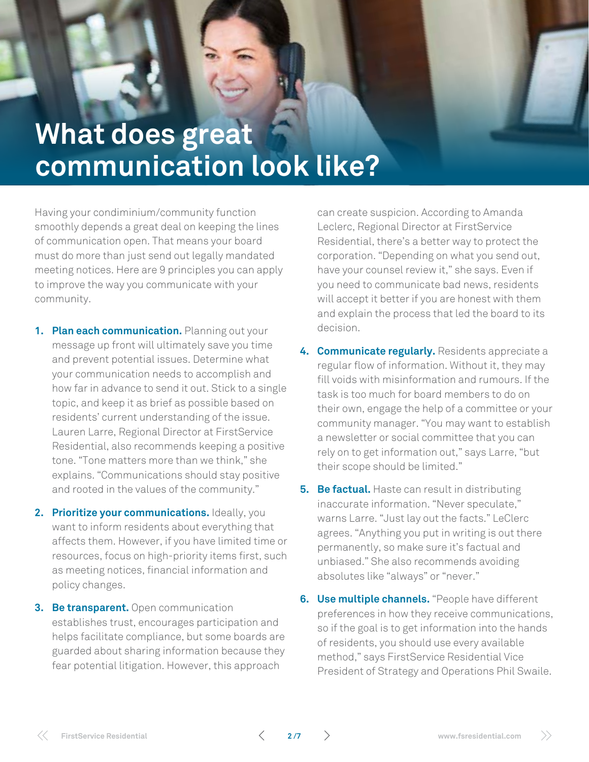

### **What does great communication look like?**

Having your condiminium/community function smoothly depends a great deal on keeping the lines of communication open. That means your board must do more than just send out legally mandated meeting notices. Here are 9 principles you can apply to improve the way you communicate with your community.

- **1. Plan each communication.** Planning out your message up front will ultimately save you time and prevent potential issues. Determine what your communication needs to accomplish and how far in advance to send it out. Stick to a single topic, and keep it as brief as possible based on residents' current understanding of the issue. Lauren Larre, Regional Director at FirstService Residential, also recommends keeping a positive tone. "Tone matters more than we think," she explains. "Communications should stay positive and rooted in the values of the community."
- **2. Prioritize your communications.** Ideally, you want to inform residents about everything that affects them. However, if you have limited time or resources, focus on high-priority items first, such as meeting notices, financial information and policy changes.
- **3. Be transparent.** Open communication establishes trust, encourages participation and helps facilitate compliance, but some boards are guarded about sharing information because they fear potential litigation. However, this approach

can create suspicion. According to Amanda Leclerc, Regional Director at FirstService Residential, there's a better way to protect the corporation. "Depending on what you send out, have your counsel review it," she says. Even if you need to communicate bad news, residents will accept it better if you are honest with them and explain the process that led the board to its decision.

- **4. Communicate regularly.** Residents appreciate a regular flow of information. Without it, they may fill voids with misinformation and rumours. If the task is too much for board members to do on their own, engage the help of a committee or your community manager. "You may want to establish a newsletter or social committee that you can rely on to get information out," says Larre, "but their scope should be limited."
- **5. Be factual.** Haste can result in distributing inaccurate information. "Never speculate," warns Larre. "Just lay out the facts." LeClerc agrees. "Anything you put in writing is out there permanently, so make sure it's factual and unbiased." She also recommends avoiding absolutes like "always" or "never."
- **6. Use multiple channels.** "People have different preferences in how they receive communications, so if the goal is to get information into the hands of residents, you should use every available method," says FirstService Residential Vice President of Strategy and Operations Phil Swaile.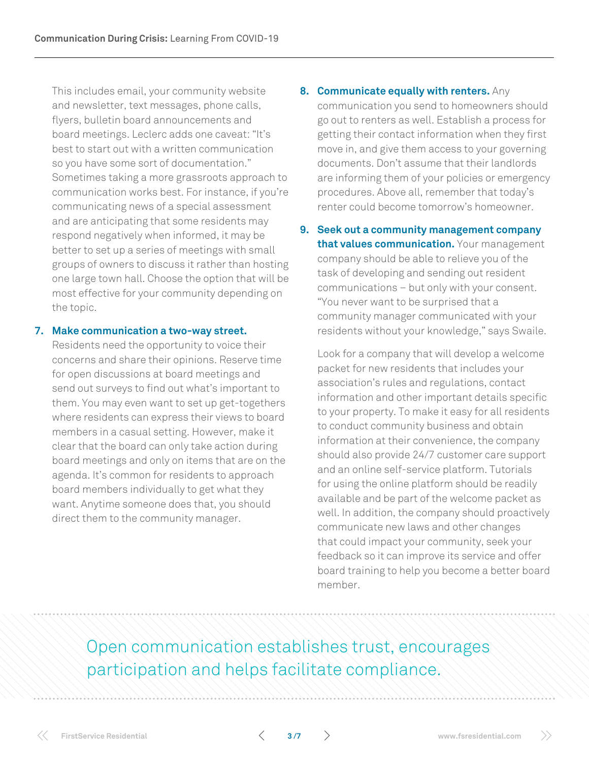This includes email, your community website and newsletter, text messages, phone calls, flyers, bulletin board announcements and board meetings. Leclerc adds one caveat: "It's best to start out with a written communication so you have some sort of documentation." Sometimes taking a more grassroots approach to communication works best. For instance, if you're communicating news of a special assessment and are anticipating that some residents may respond negatively when informed, it may be better to set up a series of meetings with small groups of owners to discuss it rather than hosting one large town hall. Choose the option that will be most effective for your community depending on the topic.

#### **7. Make communication a two-way street.**

Residents need the opportunity to voice their concerns and share their opinions. Reserve time for open discussions at board meetings and send out surveys to find out what's important to them. You may even want to set up get-togethers where residents can express their views to board members in a casual setting. However, make it clear that the board can only take action during board meetings and only on items that are on the agenda. It's common for residents to approach board members individually to get what they want. Anytime someone does that, you should direct them to the community manager.

- **8. Communicate equally with renters.** Any communication you send to homeowners should go out to renters as well. Establish a process for getting their contact information when they first move in, and give them access to your governing documents. Don't assume that their landlords are informing them of your policies or emergency procedures. Above all, remember that today's renter could become tomorrow's homeowner.
- **9. Seek out a community management company that values communication.** Your management company should be able to relieve you of the task of developing and sending out resident communications – but only with your consent. "You never want to be surprised that a community manager communicated with your residents without your knowledge," says Swaile.

Look for a company that will develop a welcome packet for new residents that includes your association's rules and regulations, contact information and other important details specific to your property. To make it easy for all residents to conduct community business and obtain information at their convenience, the company should also provide 24/7 customer care support and an online self-service platform. Tutorials for using the online platform should be readily available and be part of the welcome packet as well. In addition, the company should proactively communicate new laws and other changes that could impact your community, seek your feedback so it can improve its service and offer board training to help you become a better board member.

Open communication establishes trust, encourages participation and helps facilitate compliance.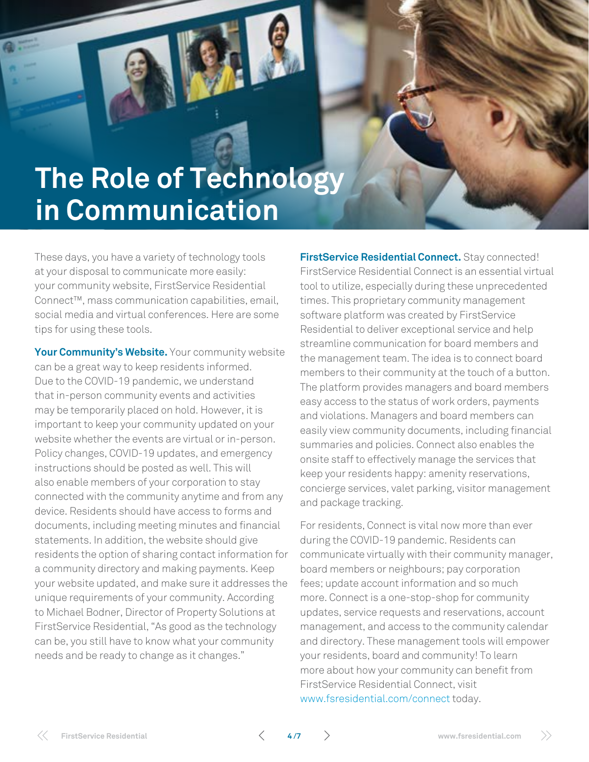## **The Role of Technology in Communication**

These days, you have a variety of technology tools at your disposal to communicate more easily: your community website, FirstService Residential Connect™, mass communication capabilities, email, social media and virtual conferences. Here are some tips for using these tools.

**Communication During Crisis:** Learning From COVID-19

Your **Community's Website.** Your community website can be a great way to keep residents informed. Due to the COVID-19 pandemic, we understand that in-person community events and activities may be temporarily placed on hold. However, it is important to keep your community updated on your website whether the events are virtual or in-person. Policy changes, COVID-19 updates, and emergency instructions should be posted as well. This will also enable members of your corporation to stay connected with the community anytime and from any device. Residents should have access to forms and documents, including meeting minutes and financial statements. In addition, the website should give residents the option of sharing contact information for a community directory and making payments. Keep your website updated, and make sure it addresses the unique requirements of your community. According to Michael Bodner, Director of Property Solutions at FirstService Residential, "As good as the technology can be, you still have to know what your community needs and be ready to change as it changes."

**FirstService Residential Connect.** Stay connected! FirstService Residential Connect is an essential virtual tool to utilize, especially during these unprecedented times. This proprietary community management software platform was created by FirstService Residential to deliver exceptional service and help streamline communication for board members and the management team. The idea is to connect board members to their community at the touch of a button. The platform provides managers and board members easy access to the status of work orders, payments and violations. Managers and board members can easily view community documents, including financial summaries and policies. Connect also enables the onsite staff to effectively manage the services that keep your residents happy: amenity reservations, concierge services, valet parking, visitor management and package tracking.

For residents, Connect is vital now more than ever during the COVID-19 pandemic. Residents can communicate virtually with their community manager, board members or neighbours; pay corporation fees; update account information and so much more. Connect is a one-stop-shop for community updates, service requests and reservations, account management, and access to the community calendar and directory. These management tools will empower your residents, board and community! To learn more about how your community can benefit from FirstService Residential Connect, visit <www.fsresidential.com/connect>today.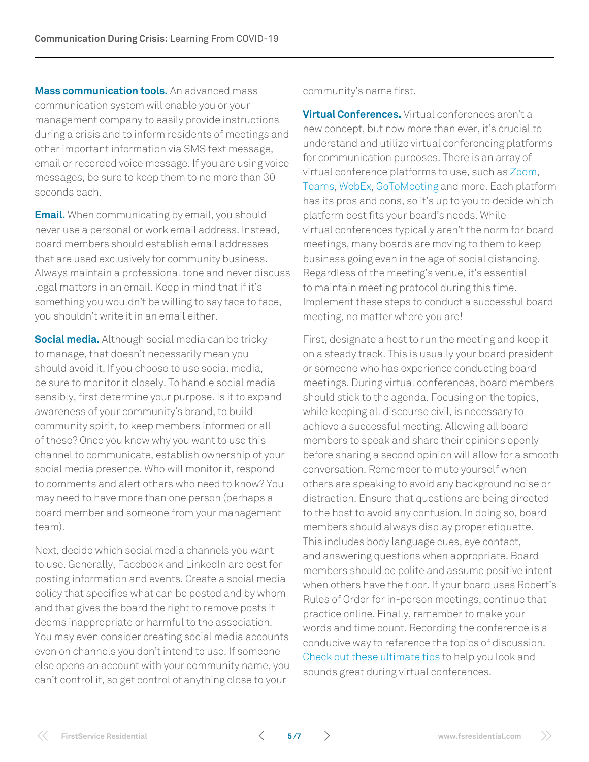**Mass communication tools.** An advanced mass communication system will enable you or your management company to easily provide instructions during a crisis and to inform residents of meetings and other important information via SMS text message, email or recorded voice message. If you are using voice messages, be sure to keep them to no more than 30 seconds each.

**Email.** When communicating by email, you should never use a personal or work email address. Instead, board members should establish email addresses that are used exclusively for community business. Always maintain a professional tone and never discuss legal matters in an email. Keep in mind that if it's something you wouldn't be willing to say face to face, you shouldn't write it in an email either.

**Social media.** Although social media can be tricky to manage, that doesn't necessarily mean you should avoid it. If you choose to use social media, be sure to monitor it closely. To handle social media sensibly, first determine your purpose. Is it to expand awareness of your community's brand, to build community spirit, to keep members informed or all of these? Once you know why you want to use this channel to communicate, establish ownership of your social media presence. Who will monitor it, respond to comments and alert others who need to know? You may need to have more than one person (perhaps a board member and someone from your management team).

Next, decide which social media channels you want to use. Generally, Facebook and LinkedIn are best for posting information and events. Create a social media policy that specifies what can be posted and by whom and that gives the board the right to remove posts it deems inappropriate or harmful to the association. You may even consider creating social media accounts even on channels you don't intend to use. If someone else opens an account with your community name, you can't control it, so get control of anything close to your

community's name first.

**Virtual Conferences.** Virtual conferences aren't a new concept, but now more than ever, it's crucial to understand and utilize virtual conferencing platforms for communication purposes. There is an array of virtual conference platforms to use, such as [Zoom](https://zoom.us/), [Teams,](https://products.office.com/en-us/microsoft-teams/group-chat-software) [WebEx,](https://www.webex.com/) [GoToMeeting](https://www.gotomeeting.com/lp/sem?cid=g2m_noam_ggs_cpc_71700000060694846_58700005493369263_p50143970149&gclid=Cj0KCQjwsYb0BRCOARIsAHbLPhEXxXD7vuGCoD9uPaeKGC0GxrKUmvECW_NVApGUDgYfreOxMmnCLQAaAuynEALw_wcB&gclsrc=aw.ds) and more. Each platform has its pros and cons, so it's up to you to decide which platform best fits your board's needs. While virtual conferences typically aren't the norm for board meetings, many boards are moving to them to keep business going even in the age of social distancing. Regardless of the meeting's venue, it's essential to maintain meeting protocol during this time. Implement these steps to conduct a successful board meeting, no matter where you are!

First, designate a host to run the meeting and keep it on a steady track. This is usually your board president or someone who has experience conducting board meetings. During virtual conferences, board members should stick to the agenda. Focusing on the topics, while keeping all discourse civil, is necessary to achieve a successful meeting. Allowing all board members to speak and share their opinions openly before sharing a second opinion will allow for a smooth conversation. Remember to mute yourself when others are speaking to avoid any background noise or distraction. Ensure that questions are being directed to the host to avoid any confusion. In doing so, board members should always display proper etiquette. This includes body language cues, eye contact, and answering questions when appropriate. Board members should be polite and assume positive intent when others have the floor. If your board uses Robert's Rules of Order for in-person meetings, continue that practice online. Finally, remember to make your words and time count. Recording the conference is a conducive way to reference the topics of discussion. [Check out these ultimate tips](https://www.cnet.com/how-to/ultimate-webcam-tips-how-to-look-sound-great-online/) to help you look and sounds great during virtual conferences.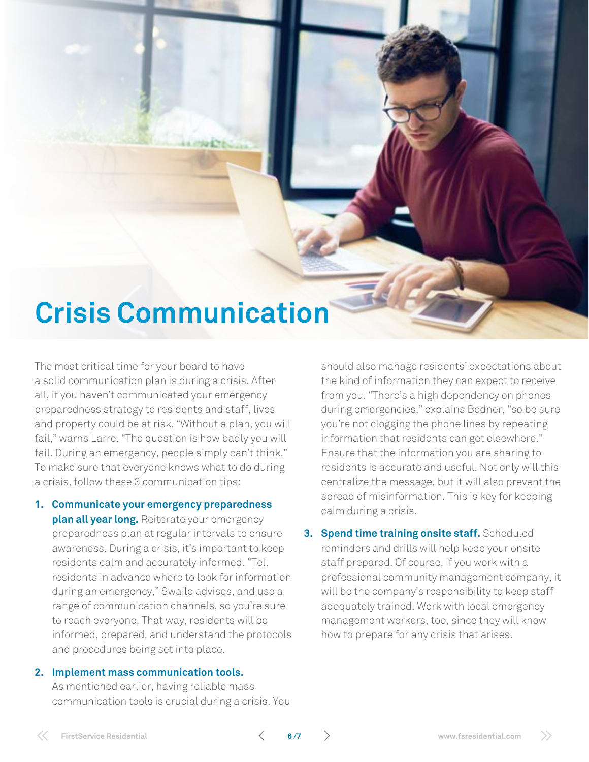### **Crisis Communication**

**Communication During Crisis:** Learning From COVID-19

The most critical time for your board to have a solid communication plan is during a crisis. After all, if you haven't communicated your emergency preparedness strategy to residents and staff, lives and property could be at risk. "Without a plan, you will fail," warns Larre. "The question is how badly you will fail. During an emergency, people simply can't think." To make sure that everyone knows what to do during a crisis, follow these 3 communication tips:

**1. Communicate your emergency preparedness plan all year long.** Reiterate your emergency preparedness plan at regular intervals to ensure awareness. During a crisis, it's important to keep residents calm and accurately informed. "Tell residents in advance where to look for information during an emergency," Swaile advises, and use a range of communication channels, so you're sure to reach everyone. That way, residents will be informed, prepared, and understand the protocols and procedures being set into place.

#### **2. Implement mass communication tools.**

As mentioned earlier, having reliable mass communication tools is crucial during a crisis. You

should also manage residents' expectations about the kind of information they can expect to receive from you. "There's a high dependency on phones during emergencies," explains Bodner, "so be sure you're not clogging the phone lines by repeating information that residents can get elsewhere." Ensure that the information you are sharing to residents is accurate and useful. Not only will this centralize the message, but it will also prevent the spread of misinformation. This is key for keeping calm during a crisis.

**3. Spend time training onsite staff.** Scheduled reminders and drills will help keep your onsite staff prepared. Of course, if you work with a professional community management company, it will be the company's responsibility to keep staff adequately trained. Work with local emergency management workers, too, since they will know how to prepare for any crisis that arises.